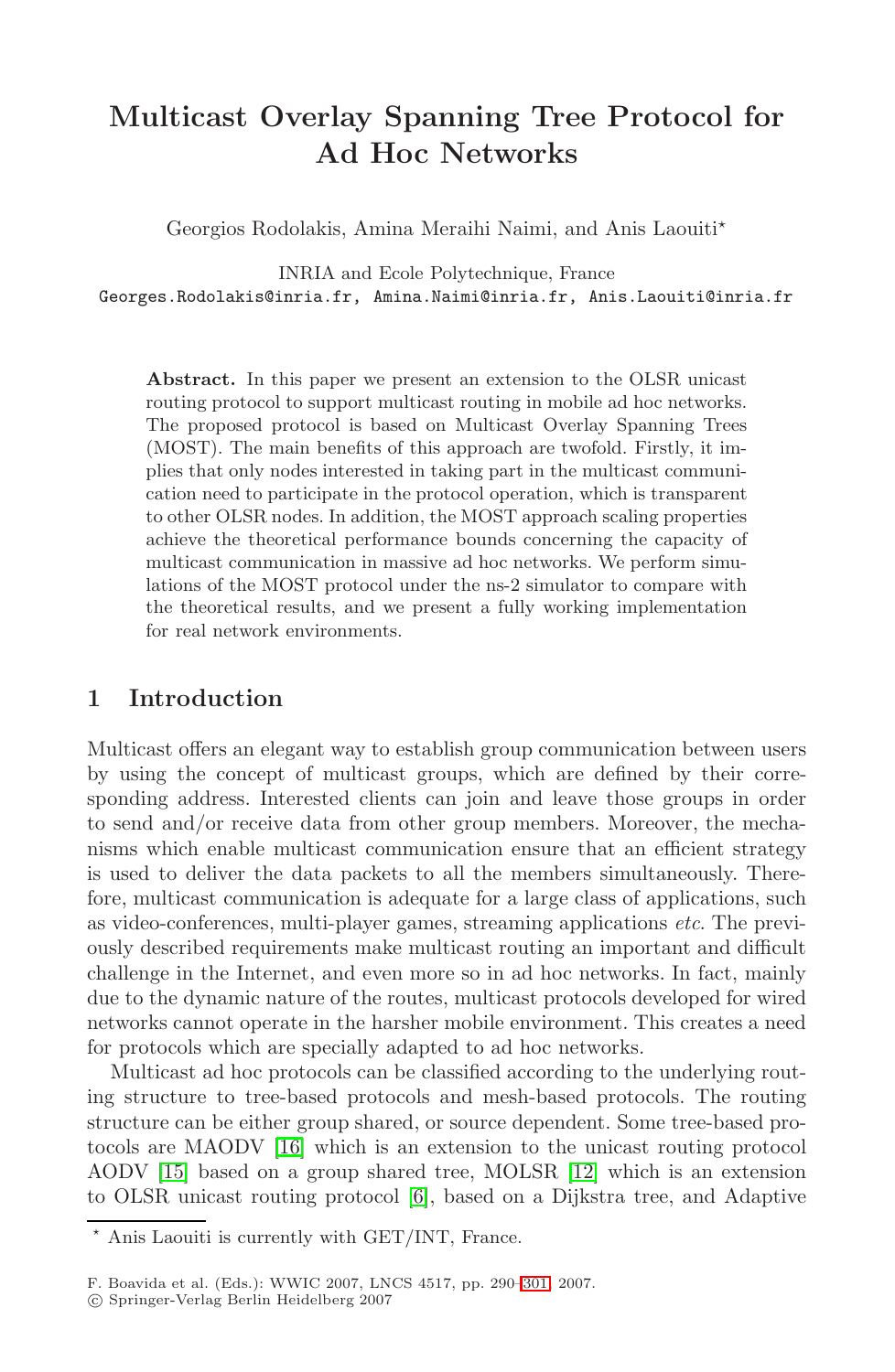# **Multicast Overlay Spanning Tree Protocol for Ad Hoc Networks**

Georgios Rodolakis, Amina Meraihi Naimi, and Anis Laouiti-

INRIA and Ecole Polytechnique, France Georges.Rodolakis@inria.fr, Amina.Naimi@inria.fr, Anis.Laouiti@inria.fr

**Abstract.** In this paper we present an extension to the OLSR unicast routing protocol to support multicast routing in mobile ad hoc networks. The proposed protocol is based on Multicast Overlay Spanning Trees (MOST). The main benefits of this approach are twofold. Firstly, it implies that only nodes interested in taking part in the multicast communication need to participate in the protocol operation, which is transparent to other OLSR nodes. In addition, the MOST approach scaling properties achieve the theoretical performance bounds concerning the capacity of multicast communication in massive ad hoc networks. We perform simulations of the MOST protocol under the ns-2 simulator to compare with the theoretical results, and we present a fully working implementation for real network environments.

# **1 Introduction**

Multicast offers an elegant way to establish group communication between users by using the concept of multicast groups, which are defined by their corresponding address. Interested clients can join and leave those groups in order to send and/or receive data from other group members. Moreover, the mechanisms which enable multicast communication ensure that an efficient strategy is used to deliver the data packets to all the members simultaneously. Therefore, multicast communication is adequate for a large class of applications, such as video-conferences, multi-player games, streaming applications etc. The previously described requirements make multicast routing an important and difficult challenge in the Internet, and even more so in ad hoc networks. In fact, mainly due to the dynamic nature of the routes, multicast protocols developed for wired networks cannot operate in the harsher mobile environment. This creates a need for protocols which are specially adapted to ad hoc networks.

Multicast ad hoc protocols can be classified according to the underlying routing structure to tree-based protocols and mesh-based protocols. The routing structure can be either group shared, or source dependent. Some tree-based protocols are MAODV [16] which is an extension to the unicast routing protocol AODV [15] based on a group shared tree, MOLSR [12] which is an extension to OLSR unicast routing protocol [6], based on a Dijkstra tree, and Adaptive

<sup>-</sup> Anis Laouiti is currently with GET/INT, France.

F. Boavida et al. (Eds.): WWIC 2007, LNCS 4517, pp. 290–301, 2007.

<sup>-</sup>c Springer-Verlag Berlin Heidelberg 2007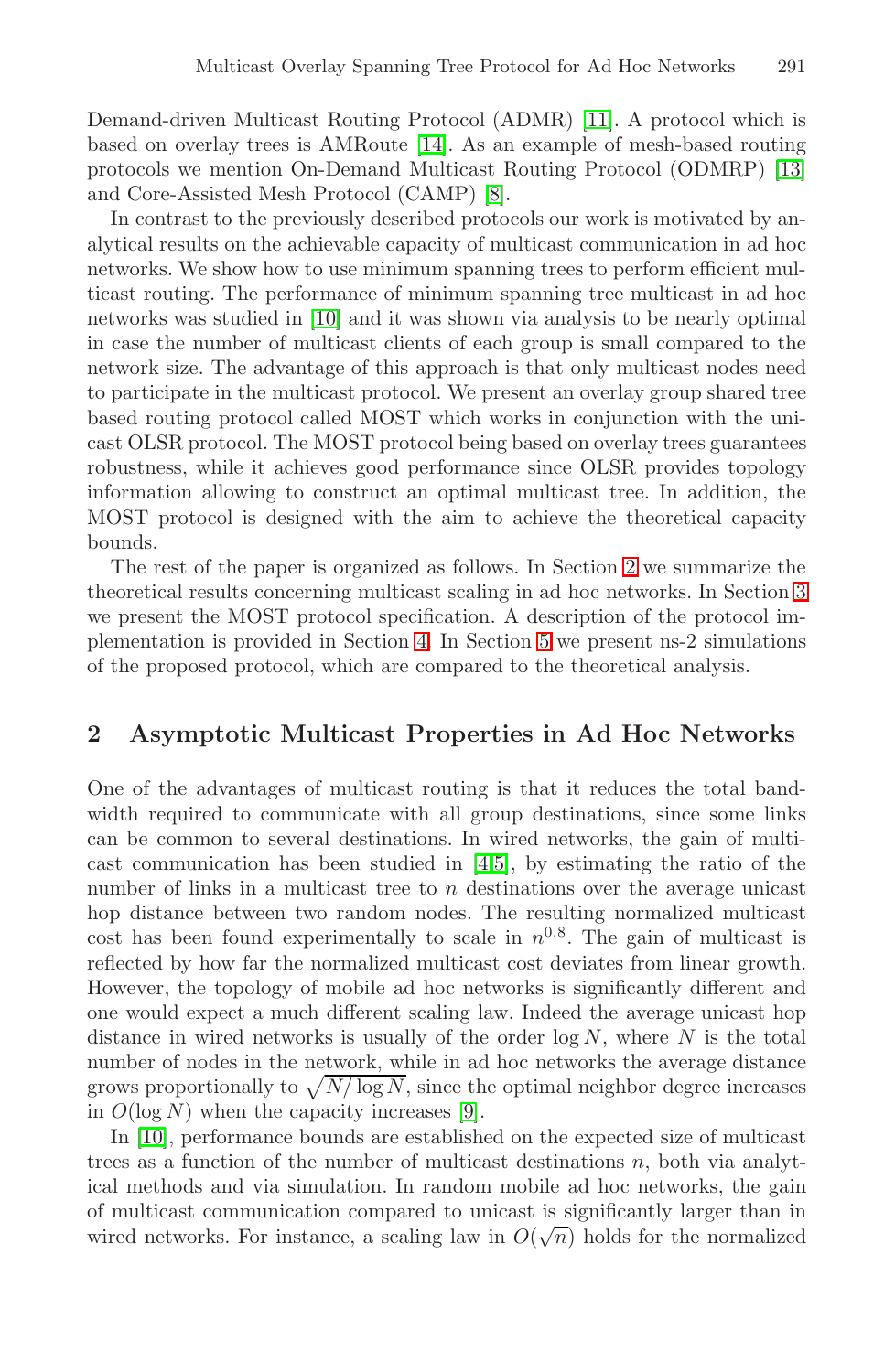Demand-driven Multicast Routing Protocol (ADMR) [11]. A protocol which is based on overlay trees is AMRoute [14]. As an example of mesh-based routing protocols we mention On-Demand Multicast Routing Protocol (ODMRP) [13] and Core-Assisted Mesh Protocol (CAMP) [8].

In contrast to the previously described protocols our work is motivated by analytical results on the achievable capacity of multicast communication in ad hoc networks. We show how to use minimum spanning trees to perform efficient multicast routing. The performance of minimum spanning tree multicast in ad hoc networks was studied in [10] and it was shown via analysis to be nearly optimal in case the number of multicast clients of each group is small compared to the network size. The advantage of this approach is that only multicast nodes need to participate in the multicast protocol. We present an overlay group shared tree based routing protocol called MOST which works in conjunction with the unicast OLSR protocol. The MOST protocol being based on overlay trees guarantees robustness, while it achieves good performance since OLSR provides topology information allowing to construct an optimal multicast tree. In addition, the MOST protocol is designed with the aim to achieve the theoretical capacity bounds.

The rest of the paper is organized as follows. In Section 2 we summarize the theoretical results concerning multicast scaling in ad hoc networks. In Section 3 we present the MOST protocol specification. A description of the protocol implementation is provided in Section 4. In Section 5 we present ns-2 simulations of the proposed protocol, which are compared to the theoretical analysis.

## **2 Asymptotic Multicast Properties in Ad Hoc Networks**

One of the advantages of multicast routing is that it reduces the total bandwidth required to communicate with all group destinations, since some links can be common to several destinations. In wired networks, the gain of multicast communication has been studied in [4,5], by estimating the ratio of the number of links in a multicast tree to n destinations over the average unicast hop distance between two random nodes. The resulting normalized multicast cost has been found experimentally to scale in  $n^{0.8}$ . The gain of multicast is reflected by how far the normalized multicast cost deviates from linear growth. However, the topology of mobile ad hoc networks is significantly different and one would expect a much different scaling law. Indeed the average unicast hop distance in wired networks is usually of the order  $\log N$ , where N is the total number of nodes in the network, while in ad hoc networks the average distance grows proportionally to  $\sqrt{N/\log N}$ , since the optimal neighbor degree increases in  $O(\log N)$  when the capacity increases [9].

In [10], performance bounds are established on the expected size of multicast trees as a function of the number of multicast destinations  $n$ , both via analytical methods and via simulation. In random mobile ad hoc networks, the gain of multicast communication compared to unicast is significantly larger than in or municial communication compared to unicast is significantly larger than in<br>wired networks. For instance, a scaling law in  $O(\sqrt{n})$  holds for the normalized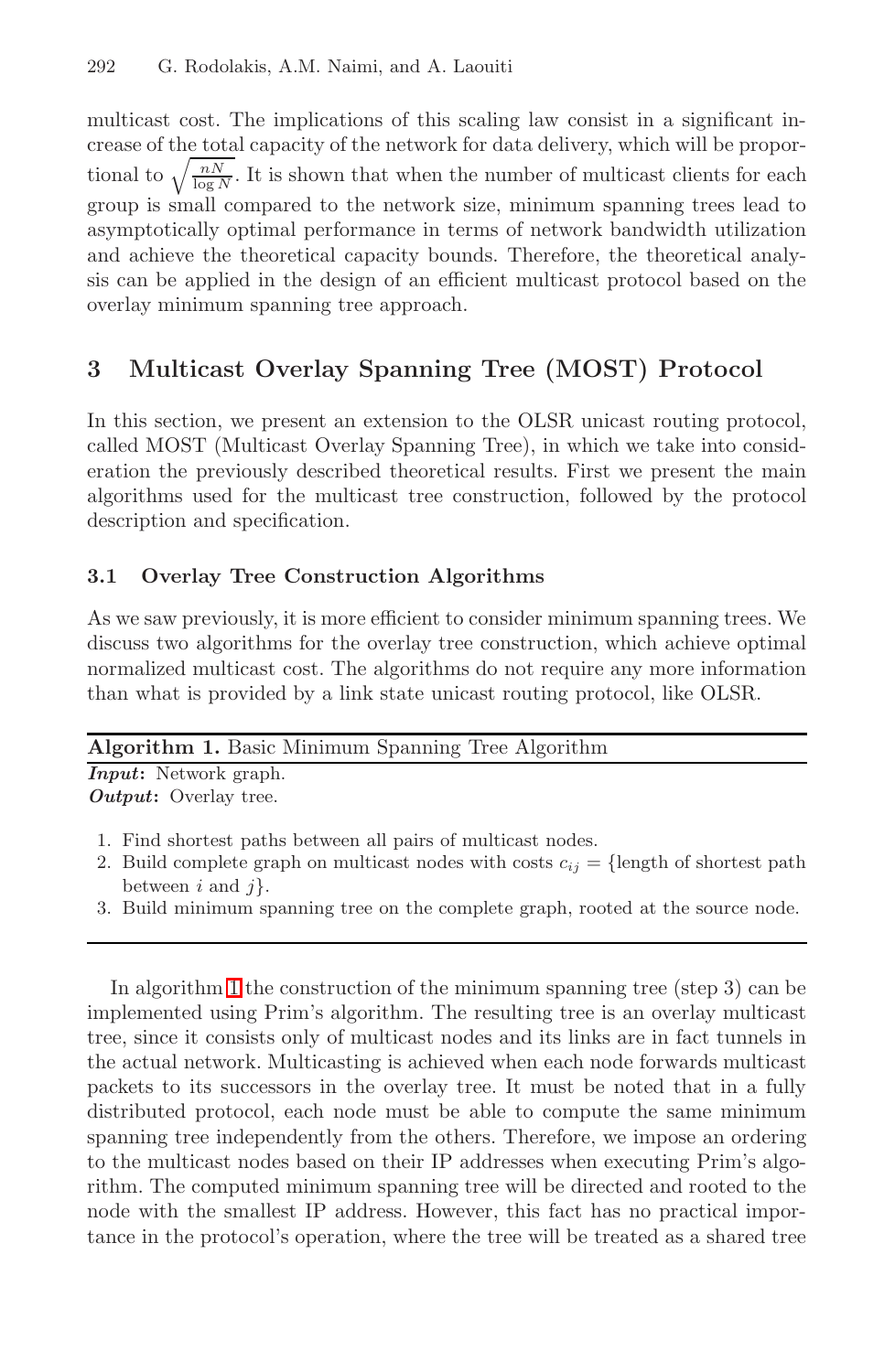multicast cost. The implications of this scaling law consist in a significant increase of the total capacity of the network for data delivery, which will be proportional to  $\sqrt{\frac{nN}{\log N}}$ . It is shown that when the number of multicast clients for each group is small compared to the network size, minimum spanning trees lead to asymptotically optimal performance in terms of network bandwidth utilization and achieve the theoretical capacity bounds. Therefore, the theoretical analysis can be applied in the design of an efficient multicast protocol based on the overlay minimum spanning tree approach.

# **3 Multicast Overlay Spanning Tree (MOST) Protocol**

In this section, we present an extension to the OLSR unicast routing protocol, called MOST (Multicast Overlay Spanning Tree), in which we take into consideration the previously described theoretical results. First we present the main algorithms used for the multicast tree construction, followed by the protocol description and specification.

# **3.1 Overlay Tree Construction Algorithms**

As we saw previously, it is more efficient to consider minimum spanning trees. We discuss two algorithms for the overlay tree construction, which achieve optimal normalized multicast cost. The algorithms do not require any more information than what is provided by a link state unicast routing protocol, like OLSR.

| <b>Algorithm 1.</b> Basic Minimum Spanning Tree Algorithm |
|-----------------------------------------------------------|
| <i>Input:</i> Network graph.                              |
| <b>Output:</b> Overlay tree.                              |

- 1. Find shortest paths between all pairs of multicast nodes.
- 2. Build complete graph on multicast nodes with costs  $c_{ij} = \{\text{length of shortest path}\}$ between i and  $j$ .
- 3. Build minimum spanning tree on the complete graph, rooted at the source node.

In algorithm 1 the construction of the minimum spanning tree (step 3) can be implemented using Prim's algorithm. The resulting tree is an overlay multicast tree, since it consists only of multicast nodes and its links are in fact tunnels in the actual network. Multicasting is achieved when each node forwards multicast packets to its successors in the overlay tree. It must be noted that in a fully distributed protocol, each node must be able to compute the same minimum spanning tree independently from the others. Therefore, we impose an ordering to the multicast nodes based on their IP addresses when executing Prim's algorithm. The computed minimum spanning tree will be directed and rooted to the node with the smallest IP address. However, this fact has no practical importance in the protocol's operation, where the tree will be treated as a shared tree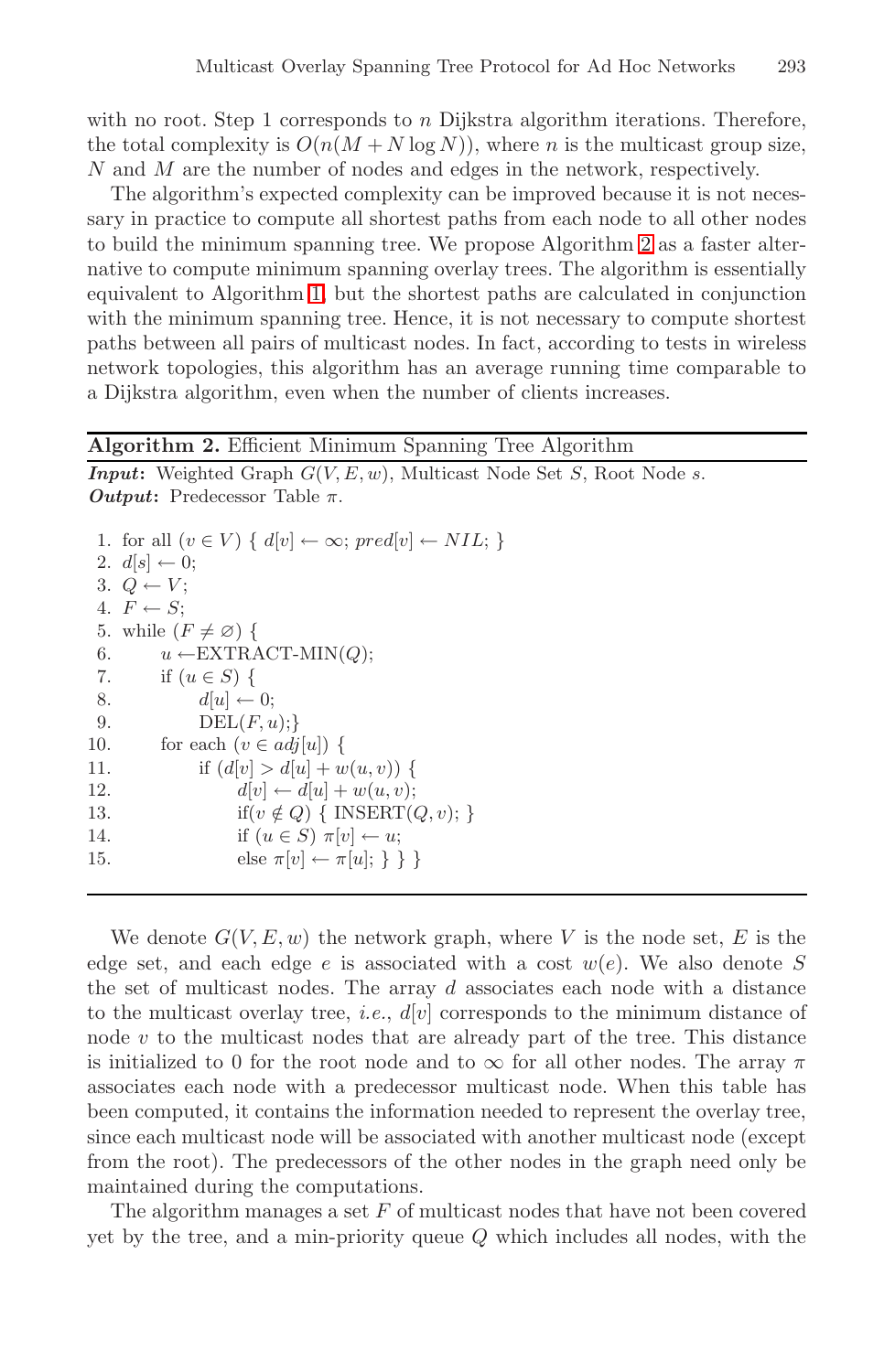with no root. Step 1 corresponds to  $n$  Dijkstra algorithm iterations. Therefore, the total complexity is  $O(n(M + N \log N))$ , where n is the multicast group size, N and M are the number of nodes and edges in the network, respectively.

The algorithm's expected complexity can be improved because it is not necessary in practice to compute all shortest paths from each node to all other nodes to build the minimum spanning tree. We propose Algorithm 2 as a faster alternative to compute minimum spanning overlay trees. The algorithm is essentially equivalent to Algorithm 1, but the shortest paths are calculated in conjunction with the minimum spanning tree. Hence, it is not necessary to compute shortest paths between all pairs of multicast nodes. In fact, according to tests in wireless network topologies, this algorithm has an average running time comparable to a Dijkstra algorithm, even when the number of clients increases.

#### **Algorithm 2.** Efficient Minimum Spanning Tree Algorithm

```
Input: Weighted Graph G(V, E, w), Multicast Node Set S, Root Node s.
Output: Predecessor Table π.
```

```
1. for all (v \in V) \{ d[v] \leftarrow \infty; pred[v] \leftarrow NIL; \}2. d[s] \leftarrow 0;3. Q \leftarrow V;
 4. F \leftarrow S;
 5. while (F \neq \emptyset) {
 6. u \leftarrow \text{EXTRACT-MIN}(Q);7. if (u \in S) {
 8. d|u| \leftarrow 0;9. DEL(F, u);10. for each (v \in adj[u]) {
11. if (d[v] > d[u] + w(u, v)) {
12. d[v] \leftarrow d[u] + w(u, v);13. if(v \notin Q) \{ \text{INSERT}(Q, v); \}14. if (u \in S) \pi[v] \leftarrow u;15. else \pi[v] \leftarrow \pi[u]; \}
```
We denote  $G(V, E, w)$  the network graph, where V is the node set, E is the edge set, and each edge e is associated with a cost  $w(e)$ . We also denote S the set of multicast nodes. The array  $d$  associates each node with a distance to the multicast overlay tree, *i.e.*,  $d[v]$  corresponds to the minimum distance of node  $v$  to the multicast nodes that are already part of the tree. This distance is initialized to 0 for the root node and to  $\infty$  for all other nodes. The array  $\pi$ associates each node with a predecessor multicast node. When this table has been computed, it contains the information needed to represent the overlay tree, since each multicast node will be associated with another multicast node (except from the root). The predecessors of the other nodes in the graph need only be maintained during the computations.

The algorithm manages a set  $F$  of multicast nodes that have not been covered yet by the tree, and a min-priority queue  $Q$  which includes all nodes, with the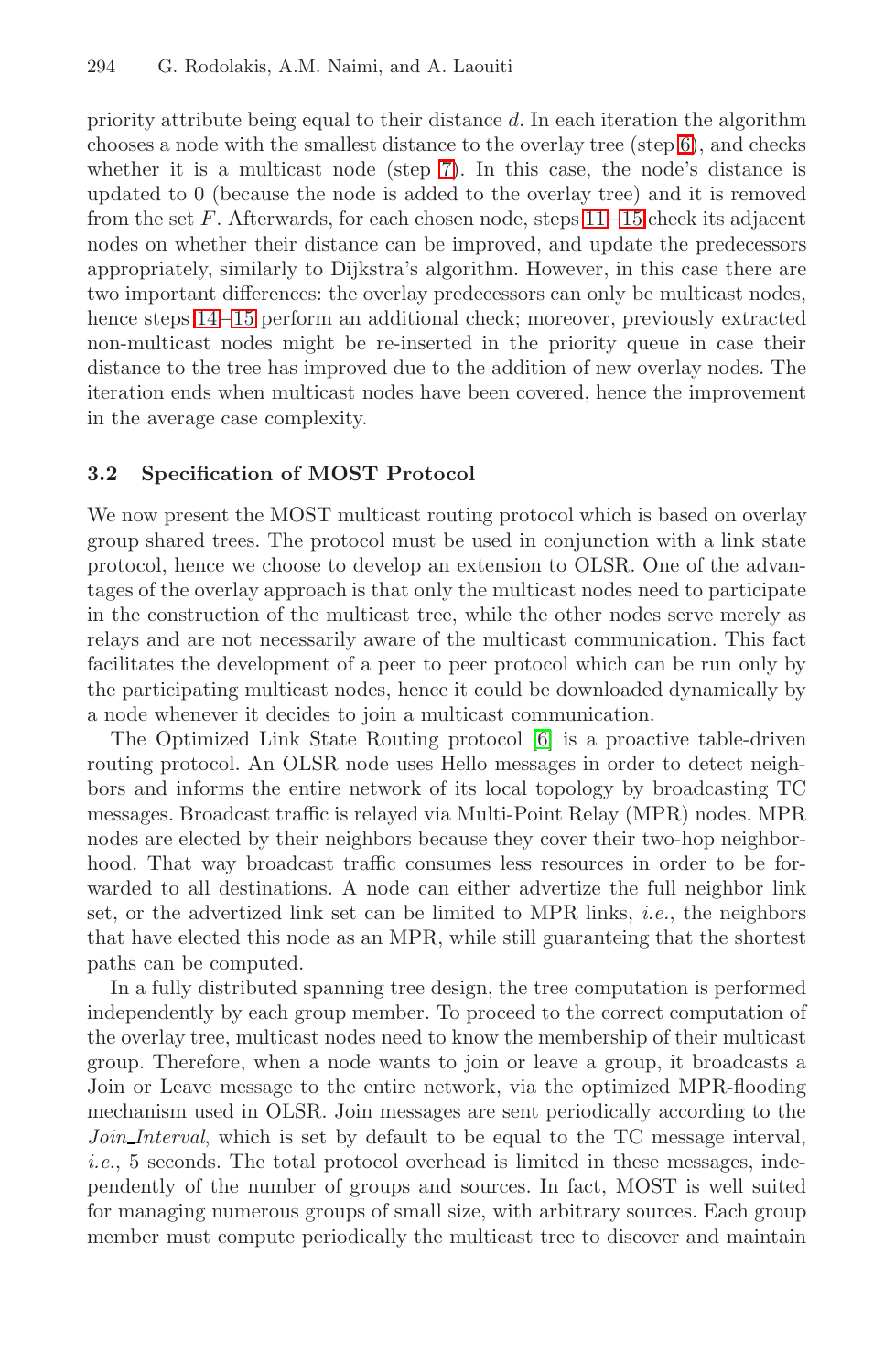priority attribute being equal to their distance  $d$ . In each iteration the algorithm chooses a node with the smallest distance to the overlay tree (step 6), and checks whether it is a multicast node (step 7). In this case, the node's distance is updated to 0 (because the node is added to the overlay tree) and it is removed from the set F. Afterwards, for each chosen node, steps 11−15 check its adjacent nodes on whether their distance can be improved, and update the predecessors appropriately, similarly to Dijkstra's algorithm. However, in this case there are two important differences: the overlay predecessors can only be multicast nodes, hence steps 14−15 perform an additional check; moreover, previously extracted non-multicast nodes might be re-inserted in the priority queue in case their distance to the tree has improved due to the addition of new overlay nodes. The iteration ends when multicast nodes have been covered, hence the improvement in the average case complexity.

#### **3.2 Specification of MOST Protocol**

We now present the MOST multicast routing protocol which is based on overlay group shared trees. The protocol must be used in conjunction with a link state protocol, hence we choose to develop an extension to OLSR. One of the advantages of the overlay approach is that only the multicast nodes need to participate in the construction of the multicast tree, while the other nodes serve merely as relays and are not necessarily aware of the multicast communication. This fact facilitates the development of a peer to peer protocol which can be run only by the participating multicast nodes, hence it could be downloaded dynamically by a node whenever it decides to join a multicast communication.

The Optimized Link State Routing protocol [6] is a proactive table-driven routing protocol. An OLSR node uses Hello messages in order to detect neighbors and informs the entire network of its local topology by broadcasting TC messages. Broadcast traffic is relayed via Multi-Point Relay (MPR) nodes. MPR nodes are elected by their neighbors because they cover their two-hop neighborhood. That way broadcast traffic consumes less resources in order to be forwarded to all destinations. A node can either advertize the full neighbor link set, or the advertized link set can be limited to MPR links, *i.e.*, the neighbors that have elected this node as an MPR, while still guaranteing that the shortest paths can be computed.

In a fully distributed spanning tree design, the tree computation is performed independently by each group member. To proceed to the correct computation of the overlay tree, multicast nodes need to know the membership of their multicast group. Therefore, when a node wants to join or leave a group, it broadcasts a Join or Leave message to the entire network, via the optimized MPR-flooding mechanism used in OLSR. Join messages are sent periodically according to the Join Interval, which is set by default to be equal to the TC message interval, i.e., 5 seconds. The total protocol overhead is limited in these messages, independently of the number of groups and sources. In fact, MOST is well suited for managing numerous groups of small size, with arbitrary sources. Each group member must compute periodically the multicast tree to discover and maintain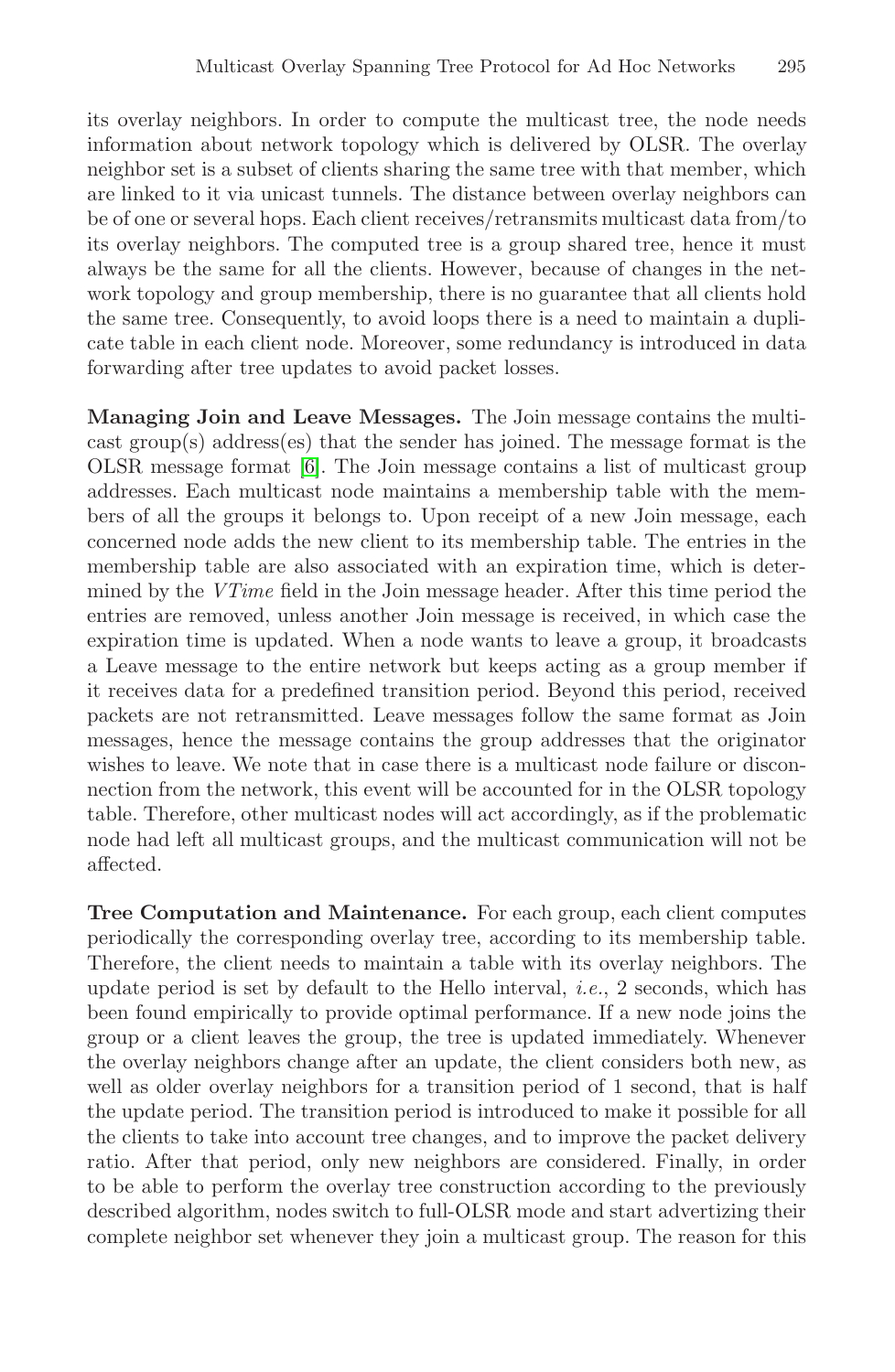its overlay neighbors. In order to compute the multicast tree, the node needs information about network topology which is delivered by OLSR. The overlay neighbor set is a subset of clients sharing the same tree with that member, which are linked to it via unicast tunnels. The distance between overlay neighbors can be of one or several hops. Each client receives/retransmits multicast data from/to its overlay neighbors. The computed tree is a group shared tree, hence it must always be the same for all the clients. However, because of changes in the network topology and group membership, there is no guarantee that all clients hold the same tree. Consequently, to avoid loops there is a need to maintain a duplicate table in each client node. Moreover, some redundancy is introduced in data forwarding after tree updates to avoid packet losses.

**Managing Join and Leave Messages.** The Join message contains the multicast group(s) address(es) that the sender has joined. The message format is the OLSR message format [6]. The Join message contains a list of multicast group addresses. Each multicast node maintains a membership table with the members of all the groups it belongs to. Upon receipt of a new Join message, each concerned node adds the new client to its membership table. The entries in the membership table are also associated with an expiration time, which is determined by the VTime field in the Join message header. After this time period the entries are removed, unless another Join message is received, in which case the expiration time is updated. When a node wants to leave a group, it broadcasts a Leave message to the entire network but keeps acting as a group member if it receives data for a predefined transition period. Beyond this period, received packets are not retransmitted. Leave messages follow the same format as Join messages, hence the message contains the group addresses that the originator wishes to leave. We note that in case there is a multicast node failure or disconnection from the network, this event will be accounted for in the OLSR topology table. Therefore, other multicast nodes will act accordingly, as if the problematic node had left all multicast groups, and the multicast communication will not be affected.

**Tree Computation and Maintenance.** For each group, each client computes periodically the corresponding overlay tree, according to its membership table. Therefore, the client needs to maintain a table with its overlay neighbors. The update period is set by default to the Hello interval, i.e., 2 seconds, which has been found empirically to provide optimal performance. If a new node joins the group or a client leaves the group, the tree is updated immediately. Whenever the overlay neighbors change after an update, the client considers both new, as well as older overlay neighbors for a transition period of 1 second, that is half the update period. The transition period is introduced to make it possible for all the clients to take into account tree changes, and to improve the packet delivery ratio. After that period, only new neighbors are considered. Finally, in order to be able to perform the overlay tree construction according to the previously described algorithm, nodes switch to full-OLSR mode and start advertizing their complete neighbor set whenever they join a multicast group. The reason for this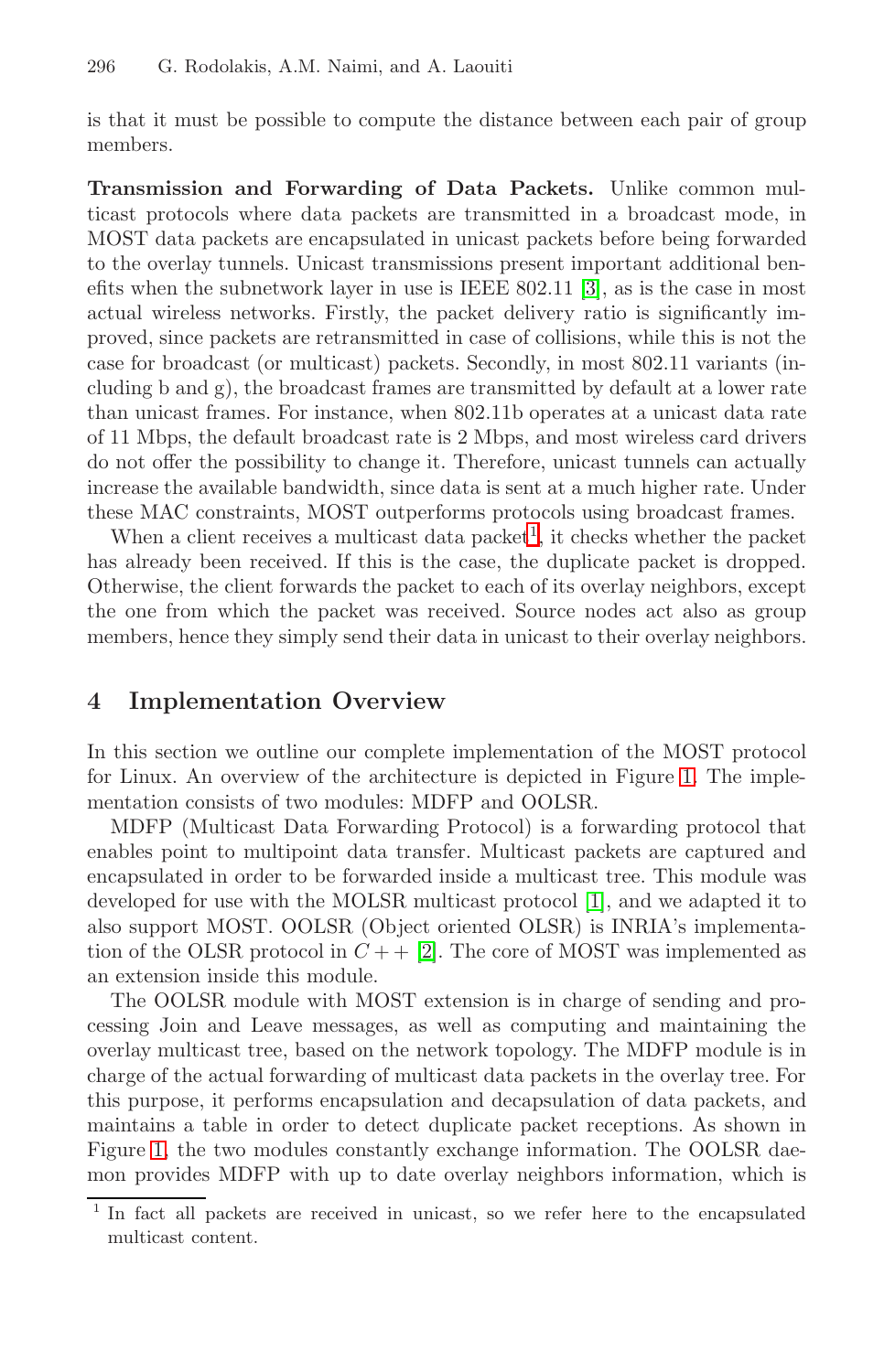is that it must be possible to compute the distance between each pair of group members.

**Transmission and Forwarding of Data Packets.** Unlike common multicast protocols where data packets are transmitted in a broadcast mode, in MOST data packets are encapsulated in unicast packets before being forwarded to the overlay tunnels. Unicast transmissions present important additional benefits when the subnetwork layer in use is IEEE 802.11 [3], as is the case in most actual wireless networks. Firstly, the packet delivery ratio is significantly improved, since packets are retransmitted in case of collisions, while this is not the case for broadcast (or multicast) packets. Secondly, in most 802.11 variants (including b and g), the broadcast frames are transmitted by default at a lower rate than unicast frames. For instance, when 802.11b operates at a unicast data rate of 11 Mbps, the default broadcast rate is 2 Mbps, and most wireless card drivers do not offer the possibility to change it. Therefore, unicast tunnels can actually increase the available bandwidth, since data is sent at a much higher rate. Under these MAC constraints, MOST outperforms protocols using broadcast frames.

When a client receives a multicast data packet<sup>1</sup>, it checks whether the packet has already been received. If this is the case, the duplicate packet is dropped. Otherwise, the client forwards the packet to each of its overlay neighbors, except the one from which the packet was received. Source nodes act also as group members, hence they simply send their data in unicast to their overlay neighbors.

## **4 Implementation Overview**

In this section we outline our complete implementation of the MOST protocol for Linux. An overview of the architecture is depicted in Figure 1. The implementation consists of two modules: MDFP and OOLSR.

MDFP (Multicast Data Forwarding Protocol) is a forwarding protocol that enables point to multipoint data transfer. Multicast packets are captured and encapsulated in order to be forwarded inside a multicast tree. This module was developed for use with the MOLSR multicast protocol [1], and we adapted it to also support MOST. OOLSR (Object oriented OLSR) is INRIA's implementation of the OLSR protocol in  $C_{+}+2$ . The core of MOST was implemented as an extension inside this module.

The OOLSR module with MOST extension is in charge of sending and processing Join and Leave messages, as well as computing and maintaining the overlay multicast tree, based on the network topology. The MDFP module is in charge of the actual forwarding of multicast data packets in the overlay tree. For this purpose, it performs encapsulation and decapsulation of data packets, and maintains a table in order to detect duplicate packet receptions. As shown in Figure 1, the two modules constantly exchange information. The OOLSR daemon provides MDFP with up to date overlay neighbors information, which is

<sup>1</sup> In fact all packets are received in unicast, so we refer here to the encapsulated multicast content.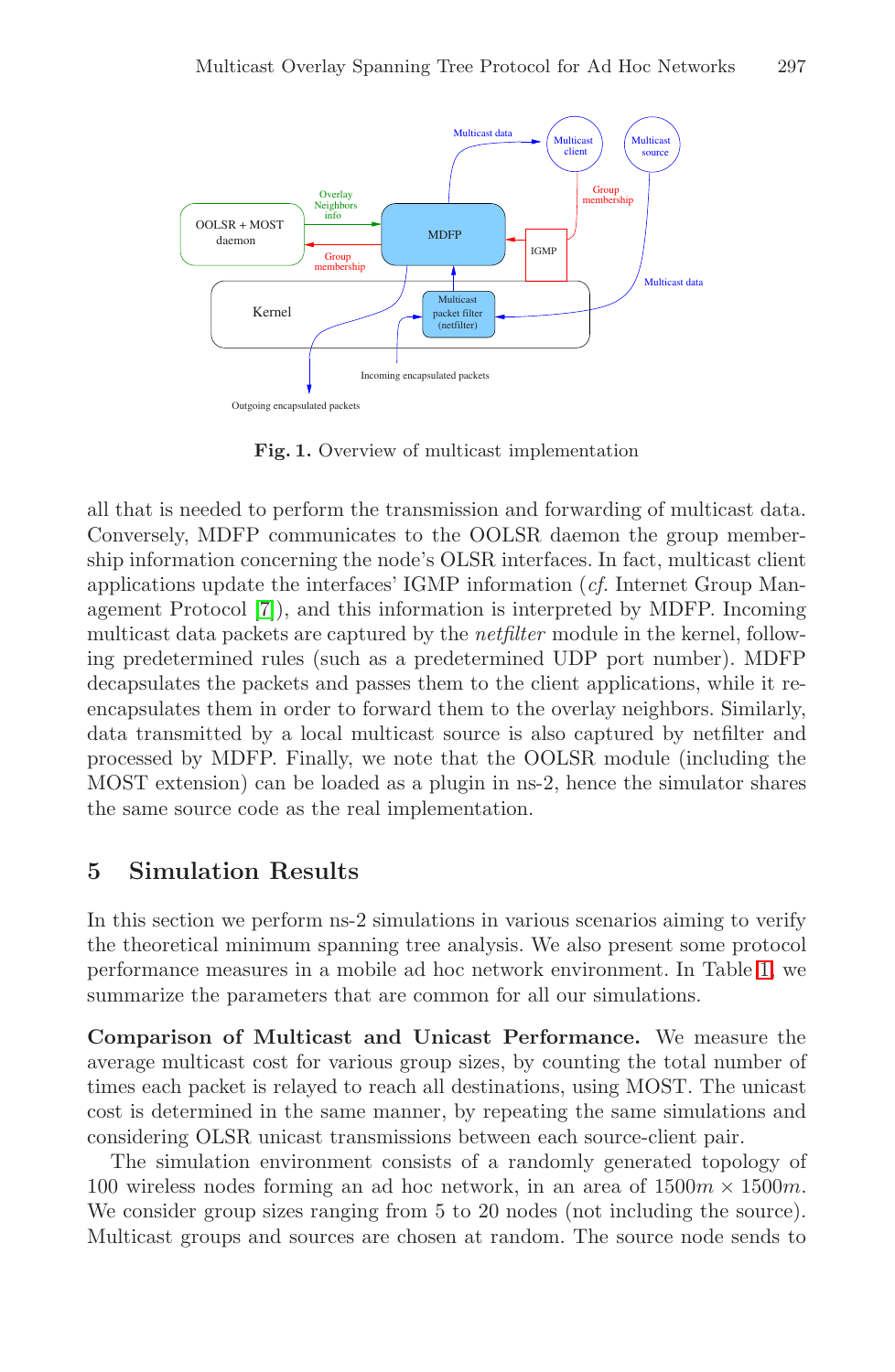

**Fig. 1.** Overview of multicast implementation

all that is needed to perform the transmission and forwarding of multicast data. Conversely, MDFP communicates to the OOLSR daemon the group membership information concerning the node's OLSR interfaces. In fact, multicast client applications update the interfaces' IGMP information (cf. Internet Group Management Protocol [7]), and this information is interpreted by MDFP. Incoming multicast data packets are captured by the *netfilter* module in the kernel, following predetermined rules (such as a predetermined UDP port number). MDFP decapsulates the packets and passes them to the client applications, while it reencapsulates them in order to forward them to the overlay neighbors. Similarly, data transmitted by a local multicast source is also captured by netfilter and processed by MDFP. Finally, we note that the OOLSR module (including the MOST extension) can be loaded as a plugin in ns-2, hence the simulator shares the same source code as the real implementation.

# **5 Simulation Results**

In this section we perform ns-2 simulations in various scenarios aiming to verify the theoretical minimum spanning tree analysis. We also present some protocol performance measures in a mobile ad hoc network environment. In Table 1, we summarize the parameters that are common for all our simulations.

**Comparison of Multicast and Unicast Performance.** We measure the average multicast cost for various group sizes, by counting the total number of times each packet is relayed to reach all destinations, using MOST. The unicast cost is determined in the same manner, by repeating the same simulations and considering OLSR unicast transmissions between each source-client pair.

The simulation environment consists of a randomly generated topology of 100 wireless nodes forming an ad hoc network, in an area of  $1500m \times 1500m$ . We consider group sizes ranging from 5 to 20 nodes (not including the source). Multicast groups and sources are chosen at random. The source node sends to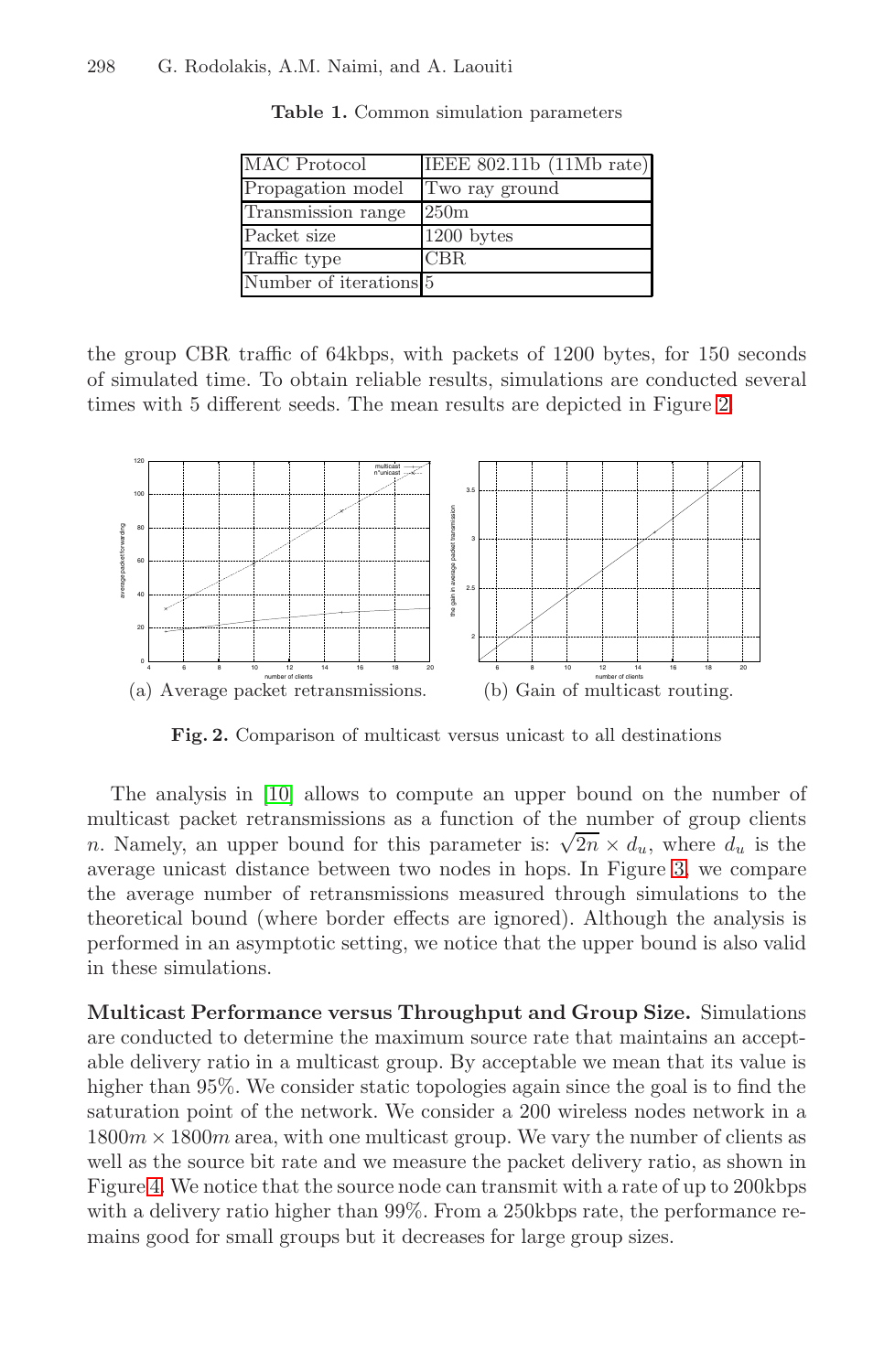| MAC Protocol           | IEEE $802.11\text{b}$ (11Mb rate) |
|------------------------|-----------------------------------|
| Propagation model      | Two ray ground                    |
| Transmission range     | 250m                              |
| Packet size            | $1200$ bytes                      |
| Traffic type           | CBR                               |
| Number of iterations 5 |                                   |

**Table 1.** Common simulation parameters

the group CBR traffic of 64kbps, with packets of 1200 bytes, for 150 seconds of simulated time. To obtain reliable results, simulations are conducted several times with 5 different seeds. The mean results are depicted in Figure 2.



**Fig. 2.** Comparison of multicast versus unicast to all destinations

The analysis in [10] allows to compute an upper bound on the number of multicast packet retransmissions as a function of the number of group clients n. Namely, an upper bound for this parameter is:  $\sqrt{2n} \times d_u$ , where  $d_u$  is the average unicast distance between two nodes in hops. In Figure 3, we compare the average number of retransmissions measured through simulations to the theoretical bound (where border effects are ignored). Although the analysis is performed in an asymptotic setting, we notice that the upper bound is also valid in these simulations.

**Multicast Performance versus Throughput and Group Size.** Simulations are conducted to determine the maximum source rate that maintains an acceptable delivery ratio in a multicast group. By acceptable we mean that its value is higher than 95%. We consider static topologies again since the goal is to find the saturation point of the network. We consider a 200 wireless nodes network in a  $1800m \times 1800m$  area, with one multicast group. We vary the number of clients as well as the source bit rate and we measure the packet delivery ratio, as shown in Figure 4. We notice that the source node can transmit with a rate of up to 200kbps with a delivery ratio higher than 99%. From a 250kbps rate, the performance remains good for small groups but it decreases for large group sizes.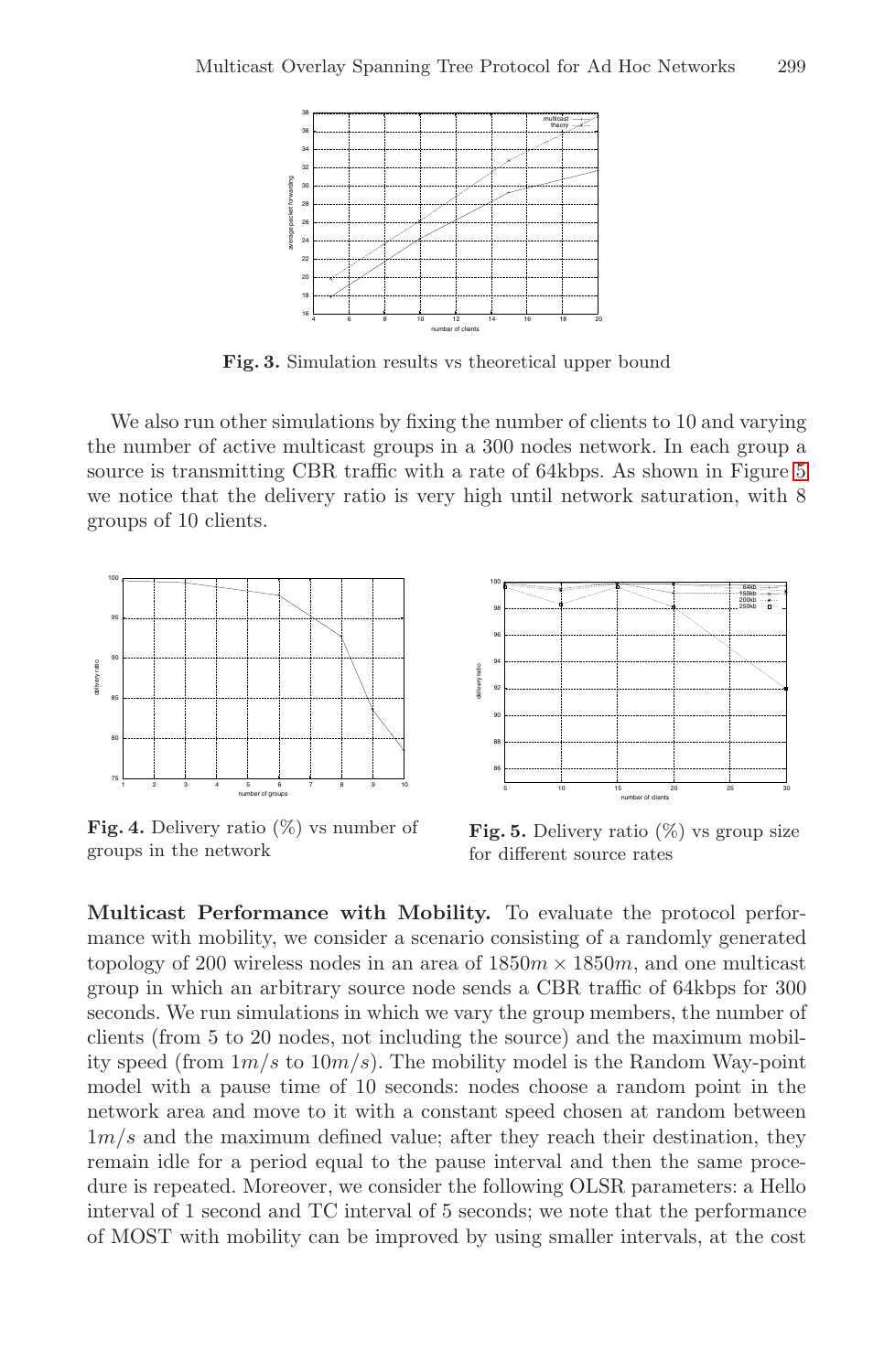

**Fig. 3.** Simulation results vs theoretical upper bound

We also run other simulations by fixing the number of clients to 10 and varying the number of active multicast groups in a 300 nodes network. In each group a source is transmitting CBR traffic with a rate of 64kbps. As shown in Figure 5 we notice that the delivery ratio is very high until network saturation, with 8 groups of 10 clients.



**Fig. 4.** Delivery ratio (%) vs number of groups in the network



**Fig. 5.** Delivery ratio  $(\%)$  vs group size for different source rates

**Multicast Performance with Mobility.** To evaluate the protocol performance with mobility, we consider a scenario consisting of a randomly generated topology of 200 wireless nodes in an area of  $1850m \times 1850m$ , and one multicast group in which an arbitrary source node sends a CBR traffic of 64kbps for 300 seconds. We run simulations in which we vary the group members, the number of clients (from 5 to 20 nodes, not including the source) and the maximum mobility speed (from  $1m/s$  to  $10m/s$ ). The mobility model is the Random Way-point model with a pause time of 10 seconds: nodes choose a random point in the network area and move to it with a constant speed chosen at random between  $1m/s$  and the maximum defined value; after they reach their destination, they remain idle for a period equal to the pause interval and then the same procedure is repeated. Moreover, we consider the following OLSR parameters: a Hello interval of 1 second and TC interval of 5 seconds; we note that the performance of MOST with mobility can be improved by using smaller intervals, at the cost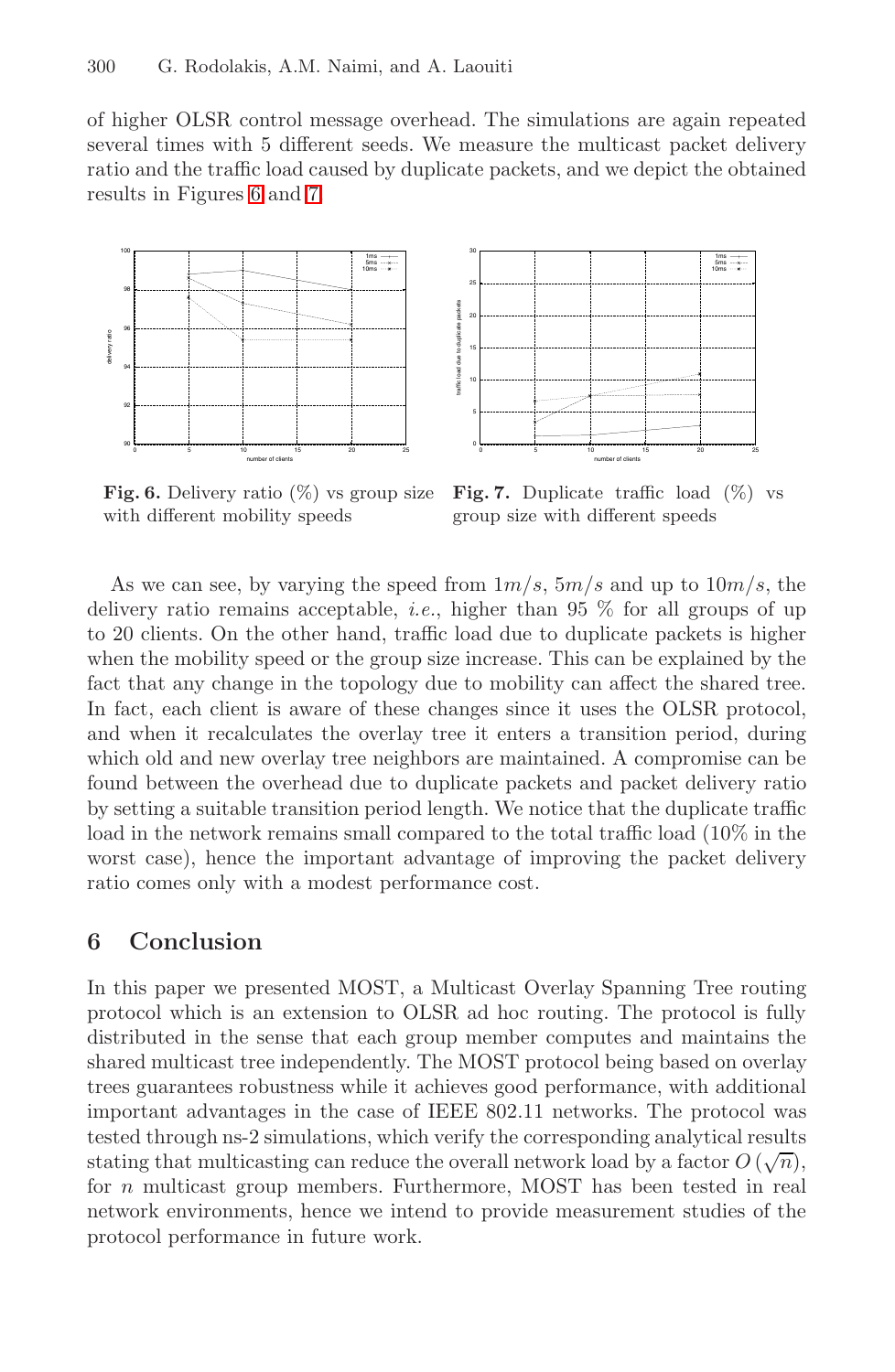of higher OLSR control message overhead. The simulations are again repeated several times with 5 different seeds. We measure the multicast packet delivery ratio and the traffic load caused by duplicate packets, and we depict the obtained results in Figures 6 and 7.





**Fig. 6.** Delivery ratio  $(\%)$  vs group size with different mobility speeds

**Fig. 7.** Duplicate traffic load (%) vs group size with different speeds

As we can see, by varying the speed from  $1m/s$ ,  $5m/s$  and up to  $10m/s$ , the delivery ratio remains acceptable, *i.e.*, higher than 95  $\%$  for all groups of up to 20 clients. On the other hand, traffic load due to duplicate packets is higher when the mobility speed or the group size increase. This can be explained by the fact that any change in the topology due to mobility can affect the shared tree. In fact, each client is aware of these changes since it uses the OLSR protocol, and when it recalculates the overlay tree it enters a transition period, during which old and new overlay tree neighbors are maintained. A compromise can be found between the overhead due to duplicate packets and packet delivery ratio by setting a suitable transition period length. We notice that the duplicate traffic load in the network remains small compared to the total traffic load (10% in the worst case), hence the important advantage of improving the packet delivery ratio comes only with a modest performance cost.

# **6 Conclusion**

In this paper we presented MOST, a Multicast Overlay Spanning Tree routing protocol which is an extension to OLSR ad hoc routing. The protocol is fully distributed in the sense that each group member computes and maintains the shared multicast tree independently. The MOST protocol being based on overlay trees guarantees robustness while it achieves good performance, with additional important advantages in the case of IEEE 802.11 networks. The protocol was tested through ns-2 simulations, which verify the corresponding analytical results stating that multicasting can reduce the overall network load by a factor  $O(\sqrt{n})$ , for n multicast group members. Furthermore, MOST has been tested in real network environments, hence we intend to provide measurement studies of the protocol performance in future work.